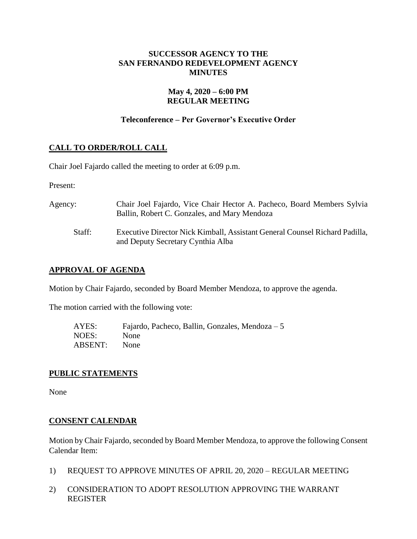# **SUCCESSOR AGENCY TO THE SAN FERNANDO REDEVELOPMENT AGENCY MINUTES**

# **May 4, 2020 – 6:00 PM REGULAR MEETING**

# **Teleconference – Per Governor's Executive Order**

# **CALL TO ORDER/ROLL CALL**

Chair Joel Fajardo called the meeting to order at 6:09 p.m.

Present:

| Agency: | Chair Joel Fajardo, Vice Chair Hector A. Pacheco, Board Members Sylvia<br>Ballin, Robert C. Gonzales, and Mary Mendoza |
|---------|------------------------------------------------------------------------------------------------------------------------|
| Staff:  | Executive Director Nick Kimball, Assistant General Counsel Richard Padilla,<br>and Deputy Secretary Cynthia Alba       |

### **APPROVAL OF AGENDA**

Motion by Chair Fajardo, seconded by Board Member Mendoza, to approve the agenda.

The motion carried with the following vote:

| AYES:   | Fajardo, Pacheco, Ballin, Gonzales, Mendoza $-5$ |
|---------|--------------------------------------------------|
| NOES:   | None                                             |
| ABSENT: | None                                             |

### **PUBLIC STATEMENTS**

None

### **CONSENT CALENDAR**

Motion by Chair Fajardo, seconded by Board Member Mendoza, to approve the following Consent Calendar Item:

- 1) REQUEST TO APPROVE MINUTES OF APRIL 20, 2020 REGULAR MEETING
- 2) CONSIDERATION TO ADOPT RESOLUTION APPROVING THE WARRANT REGISTER